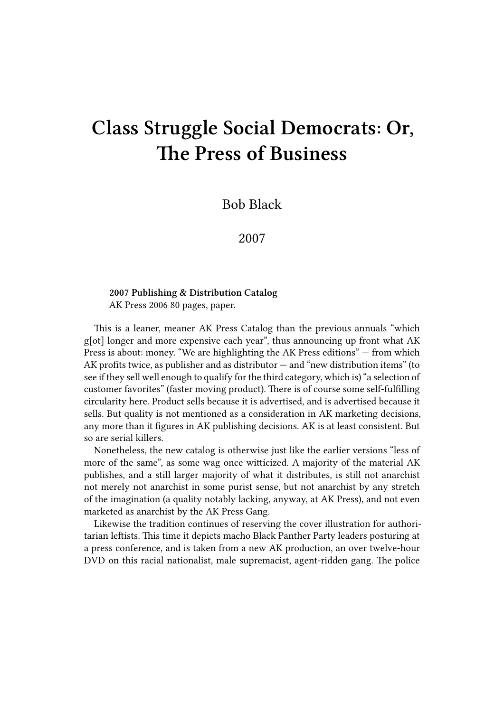## **Class Struggle Social Democrats: Or, The Press of Business**

Bob Black

2007

## **2007 Publishing & Distribution Catalog** AK Press 2006 80 pages, paper.

This is a leaner, meaner AK Press Catalog than the previous annuals "which g[ot] longer and more expensive each year", thus announcing up front what AK Press is about: money. "We are highlighting the AK Press editions" — from which AK profits twice, as publisher and as distributor — and "new distribution items" (to see if they sell well enough to qualify for the third category, which is) "a selection of customer favorites" (faster moving product). There is of course some self-fulfilling circularity here. Product sells because it is advertised, and is advertised because it sells. But quality is not mentioned as a consideration in AK marketing decisions, any more than it figures in AK publishing decisions. AK is at least consistent. But so are serial killers.

Nonetheless, the new catalog is otherwise just like the earlier versions "less of more of the same", as some wag once witticized. A majority of the material AK publishes, and a still larger majority of what it distributes, is still not anarchist not merely not anarchist in some purist sense, but not anarchist by any stretch of the imagination (a quality notably lacking, anyway, at AK Press), and not even marketed as anarchist by the AK Press Gang.

Likewise the tradition continues of reserving the cover illustration for authoritarian leftists. This time it depicts macho Black Panther Party leaders posturing at a press conference, and is taken from a new AK production, an over twelve-hour DVD on this racial nationalist, male supremacist, agent-ridden gang. The police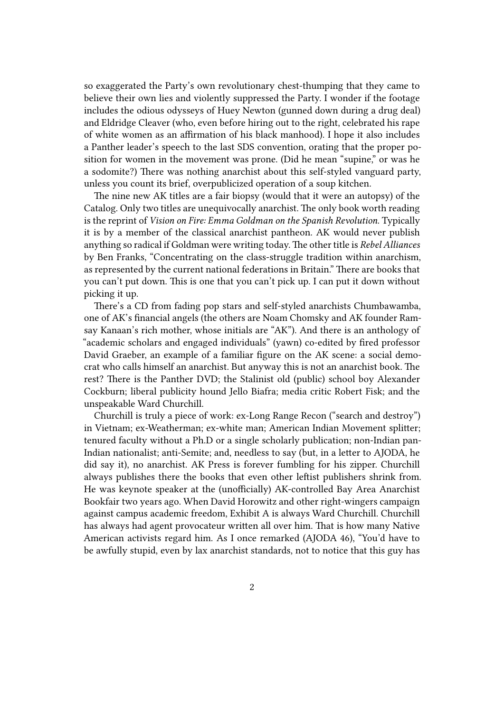so exaggerated the Party's own revolutionary chest-thumping that they came to believe their own lies and violently suppressed the Party. I wonder if the footage includes the odious odysseys of Huey Newton (gunned down during a drug deal) and Eldridge Cleaver (who, even before hiring out to the right, celebrated his rape of white women as an affirmation of his black manhood). I hope it also includes a Panther leader's speech to the last SDS convention, orating that the proper position for women in the movement was prone. (Did he mean "supine," or was he a sodomite?) There was nothing anarchist about this self-styled vanguard party, unless you count its brief, overpublicized operation of a soup kitchen.

The nine new AK titles are a fair biopsy (would that it were an autopsy) of the Catalog. Only two titles are unequivocally anarchist. The only book worth reading is the reprint of *Vision on Fire: Emma Goldman on the Spanish Revolution*. Typically it is by a member of the classical anarchist pantheon. AK would never publish anything so radical if Goldman were writing today. The other title is *Rebel Alliances* by Ben Franks, "Concentrating on the class-struggle tradition within anarchism, as represented by the current national federations in Britain." There are books that you can't put down. This is one that you can't pick up. I can put it down without picking it up.

There's a CD from fading pop stars and self-styled anarchists Chumbawamba, one of AK's financial angels (the others are Noam Chomsky and AK founder Ramsay Kanaan's rich mother, whose initials are "AK"). And there is an anthology of "academic scholars and engaged individuals" (yawn) co-edited by fired professor David Graeber, an example of a familiar figure on the AK scene: a social democrat who calls himself an anarchist. But anyway this is not an anarchist book. The rest? There is the Panther DVD; the Stalinist old (public) school boy Alexander Cockburn; liberal publicity hound Jello Biafra; media critic Robert Fisk; and the unspeakable Ward Churchill.

Churchill is truly a piece of work: ex-Long Range Recon ("search and destroy") in Vietnam; ex-Weatherman; ex-white man; American Indian Movement splitter; tenured faculty without a Ph.D or a single scholarly publication; non-Indian pan-Indian nationalist; anti-Semite; and, needless to say (but, in a letter to AJODA, he did say it), no anarchist. AK Press is forever fumbling for his zipper. Churchill always publishes there the books that even other leftist publishers shrink from. He was keynote speaker at the (unofficially) AK-controlled Bay Area Anarchist Bookfair two years ago. When David Horowitz and other right-wingers campaign against campus academic freedom, Exhibit A is always Ward Churchill. Churchill has always had agent provocateur written all over him. That is how many Native American activists regard him. As I once remarked (AJODA 46), "You'd have to be awfully stupid, even by lax anarchist standards, not to notice that this guy has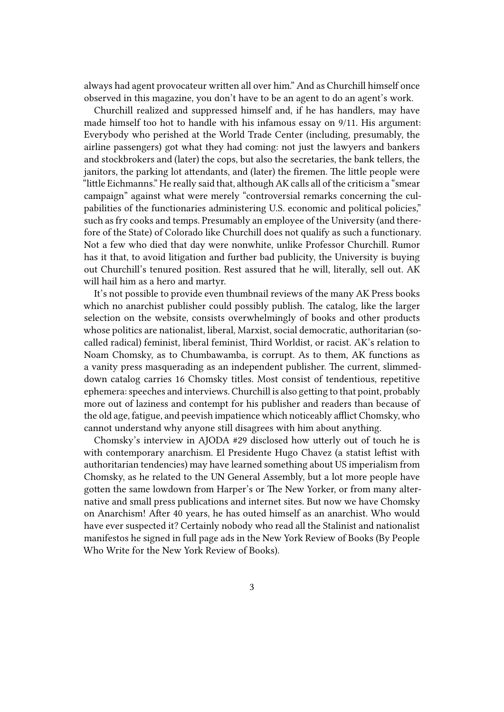always had agent provocateur written all over him." And as Churchill himself once observed in this magazine, you don't have to be an agent to do an agent's work.

Churchill realized and suppressed himself and, if he has handlers, may have made himself too hot to handle with his infamous essay on 9/11. His argument: Everybody who perished at the World Trade Center (including, presumably, the airline passengers) got what they had coming: not just the lawyers and bankers and stockbrokers and (later) the cops, but also the secretaries, the bank tellers, the janitors, the parking lot attendants, and (later) the firemen. The little people were "little Eichmanns." He really said that, although AK calls all of the criticism a "smear campaign" against what were merely "controversial remarks concerning the culpabilities of the functionaries administering U.S. economic and political policies," such as fry cooks and temps. Presumably an employee of the University (and therefore of the State) of Colorado like Churchill does not qualify as such a functionary. Not a few who died that day were nonwhite, unlike Professor Churchill. Rumor has it that, to avoid litigation and further bad publicity, the University is buying out Churchill's tenured position. Rest assured that he will, literally, sell out. AK will hail him as a hero and martyr.

It's not possible to provide even thumbnail reviews of the many AK Press books which no anarchist publisher could possibly publish. The catalog, like the larger selection on the website, consists overwhelmingly of books and other products whose politics are nationalist, liberal, Marxist, social democratic, authoritarian (socalled radical) feminist, liberal feminist, Third Worldist, or racist. AK's relation to Noam Chomsky, as to Chumbawamba, is corrupt. As to them, AK functions as a vanity press masquerading as an independent publisher. The current, slimmeddown catalog carries 16 Chomsky titles. Most consist of tendentious, repetitive ephemera: speeches and interviews. Churchill is also getting to that point, probably more out of laziness and contempt for his publisher and readers than because of the old age, fatigue, and peevish impatience which noticeably afflict Chomsky, who cannot understand why anyone still disagrees with him about anything.

Chomsky's interview in AJODA #29 disclosed how utterly out of touch he is with contemporary anarchism. El Presidente Hugo Chavez (a statist leftist with authoritarian tendencies) may have learned something about US imperialism from Chomsky, as he related to the UN General Assembly, but a lot more people have gotten the same lowdown from Harper's or The New Yorker, or from many alternative and small press publications and internet sites. But now we have Chomsky on Anarchism! After 40 years, he has outed himself as an anarchist. Who would have ever suspected it? Certainly nobody who read all the Stalinist and nationalist manifestos he signed in full page ads in the New York Review of Books (By People Who Write for the New York Review of Books).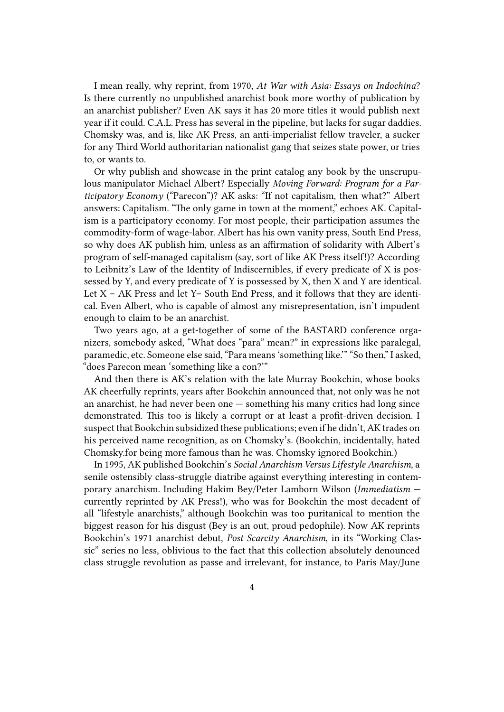I mean really, why reprint, from 1970, *At War with Asia: Essays on Indochina*? Is there currently no unpublished anarchist book more worthy of publication by an anarchist publisher? Even AK says it has 20 more titles it would publish next year if it could. C.A.L. Press has several in the pipeline, but lacks for sugar daddies. Chomsky was, and is, like AK Press, an anti-imperialist fellow traveler, a sucker for any Third World authoritarian nationalist gang that seizes state power, or tries to, or wants to.

Or why publish and showcase in the print catalog any book by the unscrupulous manipulator Michael Albert? Especially *Moving Forward: Program for a Participatory Economy* ("Parecon")? AK asks: "If not capitalism, then what?" Albert answers: Capitalism. "The only game in town at the moment," echoes AK. Capitalism is a participatory economy. For most people, their participation assumes the commodity-form of wage-labor. Albert has his own vanity press, South End Press, so why does AK publish him, unless as an affirmation of solidarity with Albert's program of self-managed capitalism (say, sort of like AK Press itself!)? According to Leibnitz's Law of the Identity of Indiscernibles, if every predicate of X is possessed by Y, and every predicate of Y is possessed by X, then X and Y are identical. Let  $X = AK$  Press and let  $Y =$  South End Press, and it follows that they are identical. Even Albert, who is capable of almost any misrepresentation, isn't impudent enough to claim to be an anarchist.

Two years ago, at a get-together of some of the BASTARD conference organizers, somebody asked, "What does "para" mean?" in expressions like paralegal, paramedic, etc. Someone else said, "Para means 'something like.'" "So then," I asked, "does Parecon mean 'something like a con?'"

And then there is AK's relation with the late Murray Bookchin, whose books AK cheerfully reprints, years after Bookchin announced that, not only was he not an anarchist, he had never been one — something his many critics had long since demonstrated. This too is likely a corrupt or at least a profit-driven decision. I suspect that Bookchin subsidized these publications; even if he didn't, AK trades on his perceived name recognition, as on Chomsky's. (Bookchin, incidentally, hated Chomsky.for being more famous than he was. Chomsky ignored Bookchin.)

In 1995, AK published Bookchin's *Social Anarchism Versus Lifestyle Anarchism*, a senile ostensibly class-struggle diatribe against everything interesting in contemporary anarchism. Including Hakim Bey/Peter Lamborn Wilson (*Immediatism* currently reprinted by AK Press!), who was for Bookchin the most decadent of all "lifestyle anarchists," although Bookchin was too puritanical to mention the biggest reason for his disgust (Bey is an out, proud pedophile). Now AK reprints Bookchin's 1971 anarchist debut, *Post Scarcity Anarchism*, in its "Working Classic" series no less, oblivious to the fact that this collection absolutely denounced class struggle revolution as passe and irrelevant, for instance, to Paris May/June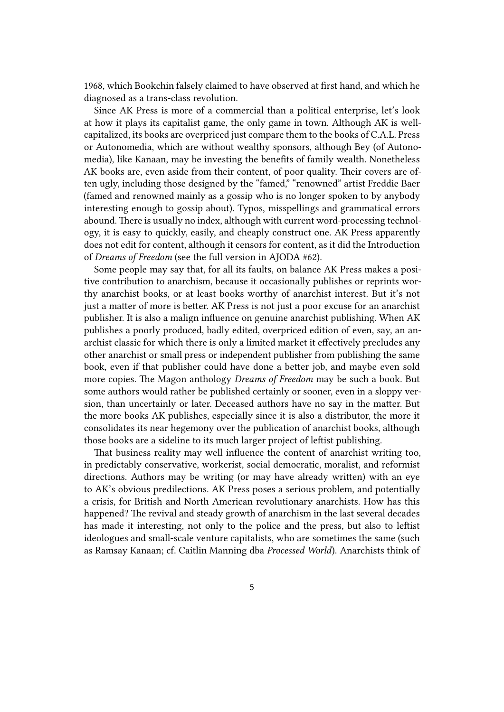1968, which Bookchin falsely claimed to have observed at first hand, and which he diagnosed as a trans-class revolution.

Since AK Press is more of a commercial than a political enterprise, let's look at how it plays its capitalist game, the only game in town. Although AK is wellcapitalized, its books are overpriced just compare them to the books of C.A.L. Press or Autonomedia, which are without wealthy sponsors, although Bey (of Autonomedia), like Kanaan, may be investing the benefits of family wealth. Nonetheless AK books are, even aside from their content, of poor quality. Their covers are often ugly, including those designed by the "famed," "renowned" artist Freddie Baer (famed and renowned mainly as a gossip who is no longer spoken to by anybody interesting enough to gossip about). Typos, misspellings and grammatical errors abound. There is usually no index, although with current word-processing technology, it is easy to quickly, easily, and cheaply construct one. AK Press apparently does not edit for content, although it censors for content, as it did the Introduction of *Dreams of Freedom* (see the full version in AJODA #62).

Some people may say that, for all its faults, on balance AK Press makes a positive contribution to anarchism, because it occasionally publishes or reprints worthy anarchist books, or at least books worthy of anarchist interest. But it's not just a matter of more is better. AK Press is not just a poor excuse for an anarchist publisher. It is also a malign influence on genuine anarchist publishing. When AK publishes a poorly produced, badly edited, overpriced edition of even, say, an anarchist classic for which there is only a limited market it effectively precludes any other anarchist or small press or independent publisher from publishing the same book, even if that publisher could have done a better job, and maybe even sold more copies. The Magon anthology *Dreams of Freedom* may be such a book. But some authors would rather be published certainly or sooner, even in a sloppy version, than uncertainly or later. Deceased authors have no say in the matter. But the more books AK publishes, especially since it is also a distributor, the more it consolidates its near hegemony over the publication of anarchist books, although those books are a sideline to its much larger project of leftist publishing.

That business reality may well influence the content of anarchist writing too, in predictably conservative, workerist, social democratic, moralist, and reformist directions. Authors may be writing (or may have already written) with an eye to AK's obvious predilections. AK Press poses a serious problem, and potentially a crisis, for British and North American revolutionary anarchists. How has this happened? The revival and steady growth of anarchism in the last several decades has made it interesting, not only to the police and the press, but also to leftist ideologues and small-scale venture capitalists, who are sometimes the same (such as Ramsay Kanaan; cf. Caitlin Manning dba *Processed World*). Anarchists think of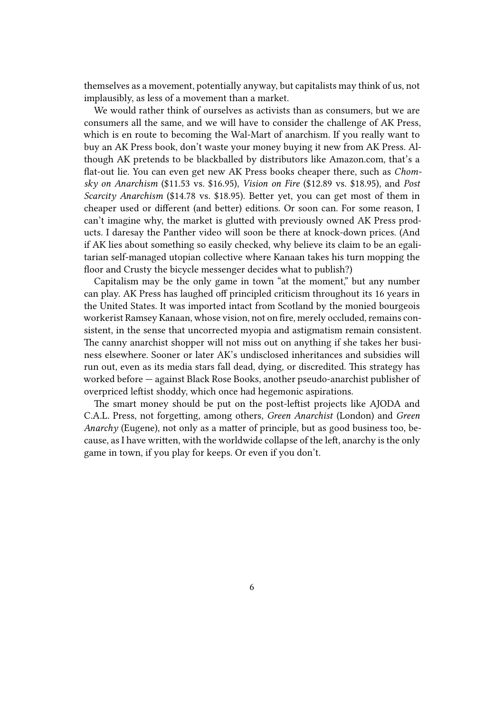themselves as a movement, potentially anyway, but capitalists may think of us, not implausibly, as less of a movement than a market.

We would rather think of ourselves as activists than as consumers, but we are consumers all the same, and we will have to consider the challenge of AK Press, which is en route to becoming the Wal-Mart of anarchism. If you really want to buy an AK Press book, don't waste your money buying it new from AK Press. Although AK pretends to be blackballed by distributors like Amazon.com, that's a flat-out lie. You can even get new AK Press books cheaper there, such as *Chomsky on Anarchism* (\$11.53 vs. \$16.95), *Vision on Fire* (\$12.89 vs. \$18.95), and *Post Scarcity Anarchism* (\$14.78 vs. \$18.95). Better yet, you can get most of them in cheaper used or different (and better) editions. Or soon can. For some reason, I can't imagine why, the market is glutted with previously owned AK Press products. I daresay the Panther video will soon be there at knock-down prices. (And if AK lies about something so easily checked, why believe its claim to be an egalitarian self-managed utopian collective where Kanaan takes his turn mopping the floor and Crusty the bicycle messenger decides what to publish?)

Capitalism may be the only game in town "at the moment," but any number can play. AK Press has laughed off principled criticism throughout its 16 years in the United States. It was imported intact from Scotland by the monied bourgeois workerist Ramsey Kanaan, whose vision, not on fire, merely occluded, remains consistent, in the sense that uncorrected myopia and astigmatism remain consistent. The canny anarchist shopper will not miss out on anything if she takes her business elsewhere. Sooner or later AK's undisclosed inheritances and subsidies will run out, even as its media stars fall dead, dying, or discredited. This strategy has worked before — against Black Rose Books, another pseudo-anarchist publisher of overpriced leftist shoddy, which once had hegemonic aspirations.

The smart money should be put on the post-leftist projects like AJODA and C.A.L. Press, not forgetting, among others, *Green Anarchist* (London) and *Green Anarchy* (Eugene), not only as a matter of principle, but as good business too, because, as I have written, with the worldwide collapse of the left, anarchy is the only game in town, if you play for keeps. Or even if you don't.